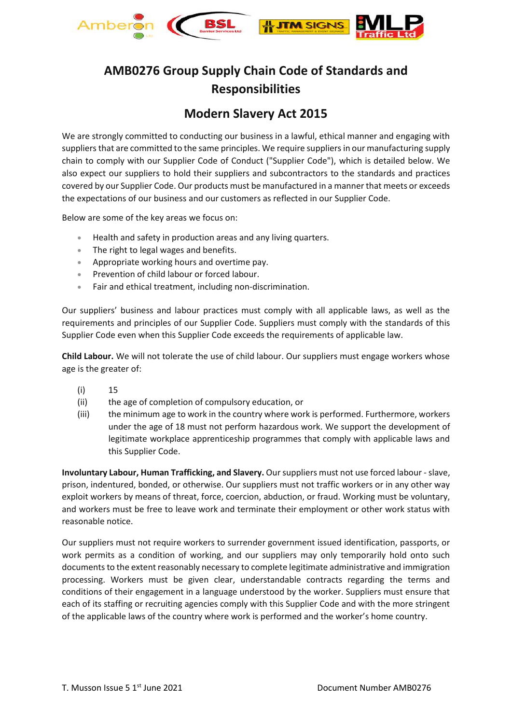

## **AMB0276 Group Supply Chain Code of Standards and Responsibilities**

## **Modern Slavery Act 2015**

We are strongly committed to conducting our business in a lawful, ethical manner and engaging with suppliers that are committed to the same principles. We require suppliers in our manufacturing supply chain to comply with our Supplier Code of Conduct ("Supplier Code"), which is detailed below. We also expect our suppliers to hold their suppliers and subcontractors to the standards and practices covered by our Supplier Code. Our products must be manufactured in a manner that meets or exceeds the expectations of our business and our customers as reflected in our Supplier Code.

Below are some of the key areas we focus on:

- Health and safety in production areas and any living quarters.
- The right to legal wages and benefits.
- Appropriate working hours and overtime pay.
- Prevention of child labour or forced labour.
- Fair and ethical treatment, including non-discrimination.

Our suppliers' business and labour practices must comply with all applicable laws, as well as the requirements and principles of our Supplier Code. Suppliers must comply with the standards of this Supplier Code even when this Supplier Code exceeds the requirements of applicable law.

**Child Labour.** We will not tolerate the use of child labour. Our suppliers must engage workers whose age is the greater of:

- (i) 15
- (ii) the age of completion of compulsory education, or
- (iii) the minimum age to work in the country where work is performed. Furthermore, workers under the age of 18 must not perform hazardous work. We support the development of legitimate workplace apprenticeship programmes that comply with applicable laws and this Supplier Code.

**Involuntary Labour, Human Trafficking, and Slavery.** Our suppliers must not use forced labour -slave, prison, indentured, bonded, or otherwise. Our suppliers must not traffic workers or in any other way exploit workers by means of threat, force, coercion, abduction, or fraud. Working must be voluntary, and workers must be free to leave work and terminate their employment or other work status with reasonable notice.

Our suppliers must not require workers to surrender government issued identification, passports, or work permits as a condition of working, and our suppliers may only temporarily hold onto such documents to the extent reasonably necessary to complete legitimate administrative and immigration processing. Workers must be given clear, understandable contracts regarding the terms and conditions of their engagement in a language understood by the worker. Suppliers must ensure that each of its staffing or recruiting agencies comply with this Supplier Code and with the more stringent of the applicable laws of the country where work is performed and the worker's home country.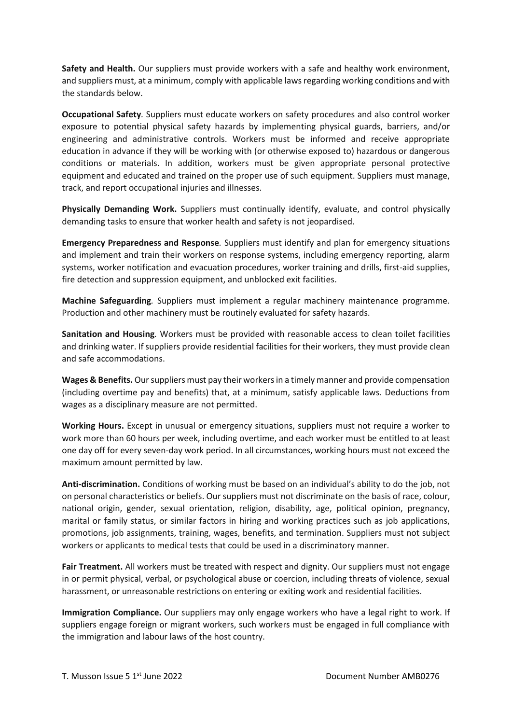**Safety and Health.** Our suppliers must provide workers with a safe and healthy work environment, and suppliers must, at a minimum, comply with applicable laws regarding working conditions and with the standards below.

**Occupational Safety***.* Suppliers must educate workers on safety procedures and also control worker exposure to potential physical safety hazards by implementing physical guards, barriers, and/or engineering and administrative controls. Workers must be informed and receive appropriate education in advance if they will be working with (or otherwise exposed to) hazardous or dangerous conditions or materials. In addition, workers must be given appropriate personal protective equipment and educated and trained on the proper use of such equipment. Suppliers must manage, track, and report occupational injuries and illnesses.

**Physically Demanding Work.** Suppliers must continually identify, evaluate, and control physically demanding tasks to ensure that worker health and safety is not jeopardised.

**Emergency Preparedness and Response***.* Suppliers must identify and plan for emergency situations and implement and train their workers on response systems, including emergency reporting, alarm systems, worker notification and evacuation procedures, worker training and drills, first-aid supplies, fire detection and suppression equipment, and unblocked exit facilities.

**Machine Safeguarding***.* Suppliers must implement a regular machinery maintenance programme. Production and other machinery must be routinely evaluated for safety hazards.

**Sanitation and Housing***.* Workers must be provided with reasonable access to clean toilet facilities and drinking water. If suppliers provide residential facilities for their workers, they must provide clean and safe accommodations.

**Wages & Benefits.** Our suppliers must pay their workers in a timely manner and provide compensation (including overtime pay and benefits) that, at a minimum, satisfy applicable laws. Deductions from wages as a disciplinary measure are not permitted.

**Working Hours.** Except in unusual or emergency situations, suppliers must not require a worker to work more than 60 hours per week, including overtime, and each worker must be entitled to at least one day off for every seven-day work period. In all circumstances, working hours must not exceed the maximum amount permitted by law.

**Anti-discrimination.** Conditions of working must be based on an individual's ability to do the job, not on personal characteristics or beliefs. Our suppliers must not discriminate on the basis of race, colour, national origin, gender, sexual orientation, religion, disability, age, political opinion, pregnancy, marital or family status, or similar factors in hiring and working practices such as job applications, promotions, job assignments, training, wages, benefits, and termination. Suppliers must not subject workers or applicants to medical tests that could be used in a discriminatory manner.

**Fair Treatment.** All workers must be treated with respect and dignity. Our suppliers must not engage in or permit physical, verbal, or psychological abuse or coercion, including threats of violence, sexual harassment, or unreasonable restrictions on entering or exiting work and residential facilities.

**Immigration Compliance.** Our suppliers may only engage workers who have a legal right to work. If suppliers engage foreign or migrant workers, such workers must be engaged in full compliance with the immigration and labour laws of the host country.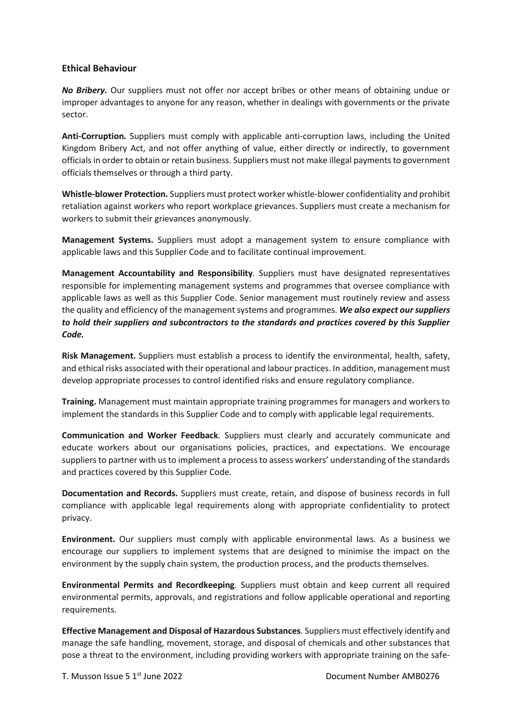## **Ethical Behaviour**

*No Bribery.* Our suppliers must not offer nor accept bribes or other means of obtaining undue or improper advantages to anyone for any reason, whether in dealings with governments or the private sector.

**Anti-Corruption***.* Suppliers must comply with applicable anti-corruption laws, including the United Kingdom Bribery Act, and not offer anything of value, either directly or indirectly, to government officials in order to obtain or retain business. Suppliers must not make illegal payments to government officials themselves or through a third party.

**Whistle-blower Protection.** Suppliers must protect worker whistle-blower confidentiality and prohibit retaliation against workers who report workplace grievances. Suppliers must create a mechanism for workers to submit their grievances anonymously.

**Management Systems.** Suppliers must adopt a management system to ensure compliance with applicable laws and this Supplier Code and to facilitate continual improvement.

**Management Accountability and Responsibility***.* Suppliers must have designated representatives responsible for implementing management systems and programmes that oversee compliance with applicable laws as well as this Supplier Code. Senior management must routinely review and assess the quality and efficiency of the management systems and programmes. *We also expect our suppliers to hold their suppliers and subcontractors to the standards and practices covered by this Supplier Code.* 

**Risk Management.** Suppliers must establish a process to identify the environmental, health, safety, and ethical risks associated with their operational and labour practices. In addition, management must develop appropriate processes to control identified risks and ensure regulatory compliance.

**Training.** Management must maintain appropriate training programmes for managers and workers to implement the standards in this Supplier Code and to comply with applicable legal requirements.

**Communication and Worker Feedback***.* Suppliers must clearly and accurately communicate and educate workers about our organisations policies, practices, and expectations. We encourage suppliers to partner with us to implement a process to assess workers' understanding of the standards and practices covered by this Supplier Code.

**Documentation and Records.** Suppliers must create, retain, and dispose of business records in full compliance with applicable legal requirements along with appropriate confidentiality to protect privacy.

**Environment.** Our suppliers must comply with applicable environmental laws. As a business we encourage our suppliers to implement systems that are designed to minimise the impact on the environment by the supply chain system, the production process, and the products themselves.

**Environmental Permits and Recordkeeping***.* Suppliers must obtain and keep current all required environmental permits, approvals, and registrations and follow applicable operational and reporting requirements.

**Effective Management and Disposal of Hazardous Substances***.* Suppliers must effectively identify and manage the safe handling, movement, storage, and disposal of chemicals and other substances that pose a threat to the environment, including providing workers with appropriate training on the safe